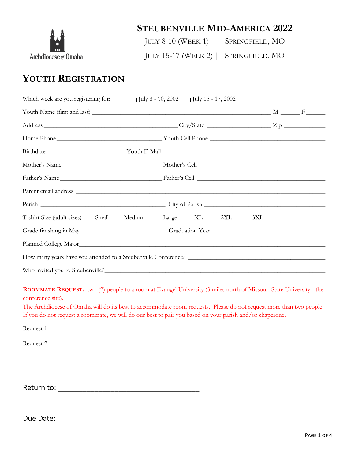

# **STEUBENVILLE MID-AMERICA 2022**

JULY 8-10 (WEEK 1) | SPRINGFIELD, MO

JULY 15-17 (WEEK 2) | SPRINGFIELD, MO

# **YOUTH REGISTRATION**

| Which week are you registering for:                                                                                                                                                                                                                                                                                                                                               | $\Box$ July 8 - 10, 2002 $\Box$ July 15 - 17, 2002 |  |
|-----------------------------------------------------------------------------------------------------------------------------------------------------------------------------------------------------------------------------------------------------------------------------------------------------------------------------------------------------------------------------------|----------------------------------------------------|--|
|                                                                                                                                                                                                                                                                                                                                                                                   |                                                    |  |
|                                                                                                                                                                                                                                                                                                                                                                                   |                                                    |  |
|                                                                                                                                                                                                                                                                                                                                                                                   |                                                    |  |
|                                                                                                                                                                                                                                                                                                                                                                                   |                                                    |  |
|                                                                                                                                                                                                                                                                                                                                                                                   |                                                    |  |
|                                                                                                                                                                                                                                                                                                                                                                                   |                                                    |  |
|                                                                                                                                                                                                                                                                                                                                                                                   |                                                    |  |
|                                                                                                                                                                                                                                                                                                                                                                                   |                                                    |  |
| Medium<br>T-shirt Size (adult sizes) Small                                                                                                                                                                                                                                                                                                                                        | XL 2XL<br>Large<br>3XL                             |  |
|                                                                                                                                                                                                                                                                                                                                                                                   |                                                    |  |
|                                                                                                                                                                                                                                                                                                                                                                                   |                                                    |  |
|                                                                                                                                                                                                                                                                                                                                                                                   |                                                    |  |
|                                                                                                                                                                                                                                                                                                                                                                                   |                                                    |  |
| <b>ROOMMATE REQUEST:</b> two (2) people to a room at Evangel University (3 miles north of Missouri State University - the<br>conference site).<br>The Archdiocese of Omaha will do its best to accommodate room requests. Please do not request more than two people.<br>If you do not request a roommate, we will do our best to pair you based on your parish and/or chaperone. |                                                    |  |
| Request 2                                                                                                                                                                                                                                                                                                                                                                         |                                                    |  |
|                                                                                                                                                                                                                                                                                                                                                                                   |                                                    |  |
|                                                                                                                                                                                                                                                                                                                                                                                   |                                                    |  |
|                                                                                                                                                                                                                                                                                                                                                                                   |                                                    |  |

Due Date: \_\_\_\_\_\_\_\_\_\_\_\_\_\_\_\_\_\_\_\_\_\_\_\_\_\_\_\_\_\_\_\_\_\_\_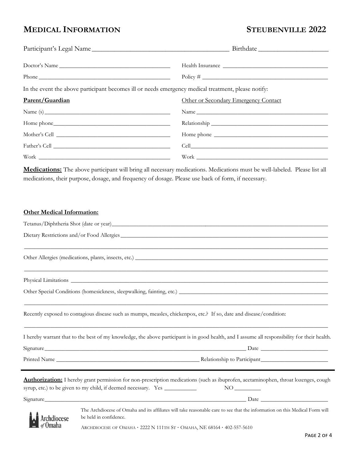## **MEDICAL INFORMATION STEUBENVILLE 2022**

| Doctor's Name                                                                                                                            |                                      |
|------------------------------------------------------------------------------------------------------------------------------------------|--------------------------------------|
|                                                                                                                                          |                                      |
| In the event the above participant becomes ill or needs emergency medical treatment, please notify:                                      |                                      |
| Parent/Guardian                                                                                                                          | Other or Secondary Emergency Contact |
|                                                                                                                                          |                                      |
|                                                                                                                                          |                                      |
|                                                                                                                                          |                                      |
|                                                                                                                                          |                                      |
| Work                                                                                                                                     | Work                                 |
| medications, their purpose, dosage, and frequency of dosage. Please use back of form, if necessary.<br><b>Other Medical Information:</b> |                                      |
|                                                                                                                                          |                                      |
| Dietary Restrictions and/or Food Allergies                                                                                               |                                      |
|                                                                                                                                          |                                      |
|                                                                                                                                          |                                      |
|                                                                                                                                          |                                      |

Recently exposed to contagious disease such as mumps, measles, chickenpox, etc.? If so, date and disease/condition:

I hereby warrant that to the best of my knowledge, the above participant is in good health, and I assume all responsibility for their health.

 $\_$  , and the set of the set of the set of the set of the set of the set of the set of the set of the set of the set of the set of the set of the set of the set of the set of the set of the set of the set of the set of th

Signature\_\_\_\_\_\_\_\_\_\_\_\_\_\_\_\_\_\_\_\_\_\_\_\_\_\_\_\_\_\_\_\_\_\_\_\_\_\_\_\_\_\_\_\_\_\_\_\_\_\_\_\_\_\_\_\_\_\_\_\_\_\_\_\_\_\_\_\_\_ Date \_\_\_\_\_\_\_\_\_\_\_\_\_\_\_\_\_\_\_\_\_\_\_

Printed Name \_\_\_\_\_\_\_\_\_\_\_\_\_\_\_\_\_\_\_\_\_\_\_\_\_\_\_\_\_\_\_\_\_\_\_\_\_\_\_\_\_\_\_\_\_\_\_\_\_ Relationship to Participant\_\_\_\_\_\_\_\_\_\_\_\_\_\_\_\_\_\_\_\_\_\_\_

**Authorization:** I hereby grant permission for non-prescription medications (such as ibuprofen, acetaminophen, throat lozenges, cough syrup, etc.) to be given to my child, if deemed necessary. Yes \_\_\_\_\_\_\_\_\_\_\_ NO \_\_\_\_\_\_\_\_\_  $Signature$   $\Box$ 

Archdiocese

The Archdiocese of Omaha and its affiliates will take reasonable care to see that the information on this Medical Form will be held in confidence.

ARCHDIOCESE OF OMAHA · 2222 N 111TH ST · OMAHA, NE 68164 · 402-557-5610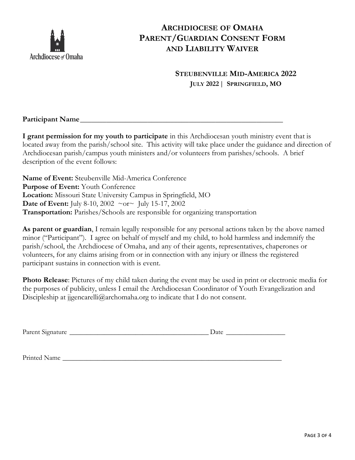

## **ARCHDIOCESE OF OMAHA PARENT/GUARDIAN CONSENT FORM AND LIABILITY WAIVER**

## **STEUBENVILLE MID-AMERICA 2022 JULY 2022 | SPRINGFIELD, MO**

### **Participant Name**

**I grant permission for my youth to participate** in this Archdiocesan youth ministry event that is located away from the parish/school site. This activity will take place under the guidance and direction of Archdiocesan parish/campus youth ministers and/or volunteers from parishes/schools. A brief description of the event follows:

**Name of Event:** Steubenville Mid-America Conference **Purpose of Event:** Youth Conference **Location:** Missouri State University Campus in Springfield, MO **Date of Event:** July 8-10, 2002 ~or~ July 15-17, 2002 **Transportation:** Parishes/Schools are responsible for organizing transportation

**As parent or guardian**, I remain legally responsible for any personal actions taken by the above named minor ("Participant"). I agree on behalf of myself and my child, to hold harmless and indemnify the parish/school, the Archdiocese of Omaha, and any of their agents, representatives, chaperones or volunteers, for any claims arising from or in connection with any injury or illness the registered participant sustains in connection with is event.

**Photo Release**: Pictures of my child taken during the event may be used in print or electronic media for the purposes of publicity, unless I email the Archdiocesan Coordinator of Youth Evangelization and Discipleship at ijgencarelli@archomaha.org to indicate that I do not consent.

Parent Signature \_\_\_\_\_\_\_\_\_\_\_\_\_\_\_\_\_\_\_\_\_\_\_\_\_\_\_\_\_\_\_\_\_\_\_\_\_\_\_\_ Date \_\_\_\_\_\_\_\_\_\_\_\_\_\_\_\_\_

Printed Name \_\_\_\_\_\_\_\_\_\_\_\_\_\_\_\_\_\_\_\_\_\_\_\_\_\_\_\_\_\_\_\_\_\_\_\_\_\_\_\_\_\_\_\_\_\_\_\_\_\_\_\_\_\_\_\_\_\_\_\_\_\_\_